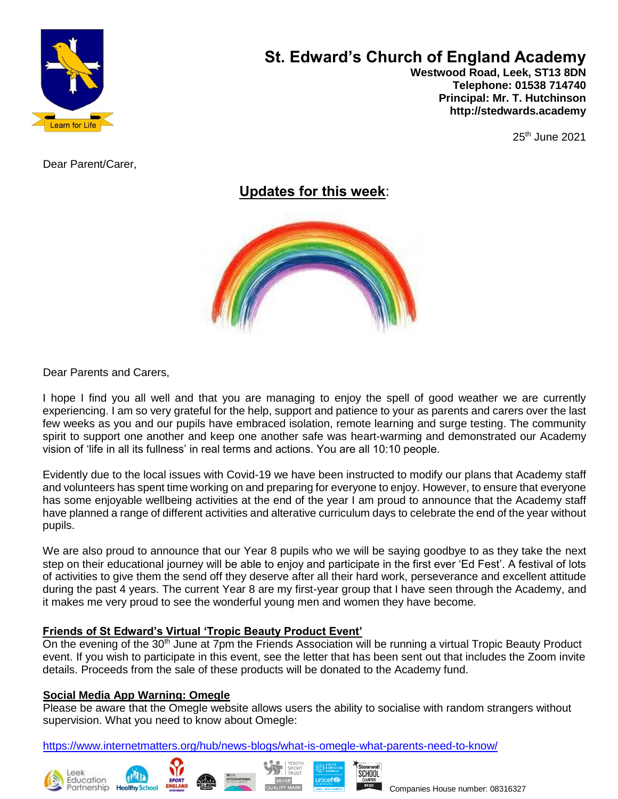

# **St. Edward's Church of England Academy**

 **Westwood Road, Leek, ST13 8DN Telephone: 01538 714740 Principal: Mr. T. Hutchinson http://stedwards.academy**

 $25<sup>th</sup>$  June 2021

Dear Parent/Carer,

**Updates for this week**:



Dear Parents and Carers,

I hope I find you all well and that you are managing to enjoy the spell of good weather we are currently experiencing. I am so very grateful for the help, support and patience to your as parents and carers over the last few weeks as you and our pupils have embraced isolation, remote learning and surge testing. The community spirit to support one another and keep one another safe was heart-warming and demonstrated our Academy vision of 'life in all its fullness' in real terms and actions. You are all 10:10 people.

Evidently due to the local issues with Covid-19 we have been instructed to modify our plans that Academy staff and volunteers has spent time working on and preparing for everyone to enjoy. However, to ensure that everyone has some enjoyable wellbeing activities at the end of the year I am proud to announce that the Academy staff have planned a range of different activities and alterative curriculum days to celebrate the end of the year without pupils.

We are also proud to announce that our Year 8 pupils who we will be saying goodbye to as they take the next step on their educational journey will be able to enjoy and participate in the first ever 'Ed Fest'. A festival of lots of activities to give them the send off they deserve after all their hard work, perseverance and excellent attitude during the past 4 years. The current Year 8 are my first-year group that I have seen through the Academy, and it makes me very proud to see the wonderful young men and women they have become.

## **Friends of St Edward's Virtual 'Tropic Beauty Product Event'**

On the evening of the  $30<sup>th</sup>$  June at 7pm the Friends Association will be running a virtual Tropic Beauty Product event. If you wish to participate in this event, see the letter that has been sent out that includes the Zoom invite details. Proceeds from the sale of these products will be donated to the Academy fund.

## **Social Media App Warning: Omegle**

Please be aware that the Omegle website allows users the ability to socialise with random strangers without supervision. What you need to know about Omegle:

<https://www.internetmatters.org/hub/news-blogs/what-is-omegle-what-parents-need-to-know/>







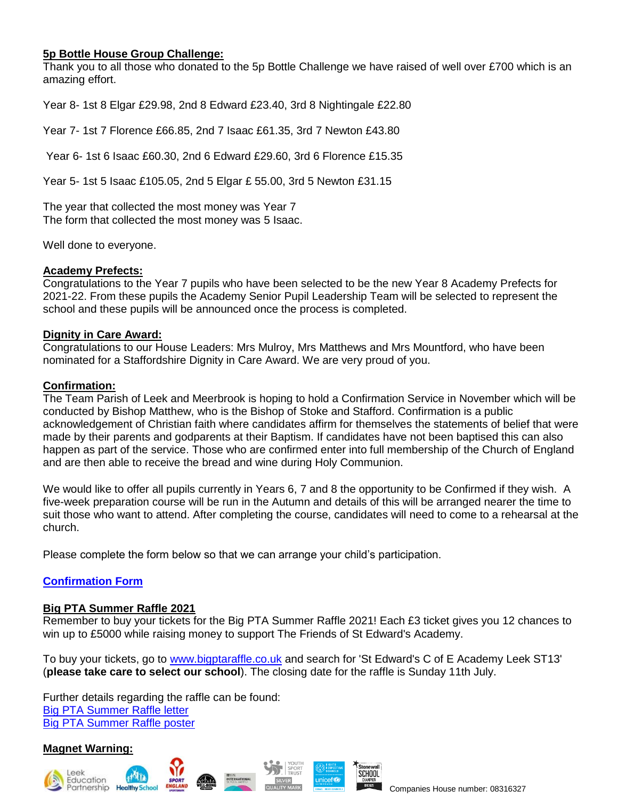## **5p Bottle House Group Challenge:**

Thank you to all those who donated to the 5p Bottle Challenge we have raised of well over £700 which is an amazing effort.

Year 8- 1st 8 Elgar £29.98, 2nd 8 Edward £23.40, 3rd 8 Nightingale £22.80

Year 7- 1st 7 Florence £66.85, 2nd 7 Isaac £61.35, 3rd 7 Newton £43.80

Year 6- 1st 6 Isaac £60.30, 2nd 6 Edward £29.60, 3rd 6 Florence £15.35

Year 5- 1st 5 Isaac £105.05, 2nd 5 Elgar £ 55.00, 3rd 5 Newton £31.15

The year that collected the most money was Year 7 The form that collected the most money was 5 Isaac.

Well done to everyone.

#### **Academy Prefects:**

Congratulations to the Year 7 pupils who have been selected to be the new Year 8 Academy Prefects for 2021-22. From these pupils the Academy Senior Pupil Leadership Team will be selected to represent the school and these pupils will be announced once the process is completed.

#### **Dignity in Care Award:**

Congratulations to our House Leaders: Mrs Mulroy, Mrs Matthews and Mrs Mountford, who have been nominated for a Staffordshire Dignity in Care Award. We are very proud of you.

#### **Confirmation:**

The Team Parish of Leek and Meerbrook is hoping to hold a Confirmation Service in November which will be conducted by Bishop Matthew, who is the Bishop of Stoke and Stafford. Confirmation is a public acknowledgement of Christian faith where candidates affirm for themselves the statements of belief that were made by their parents and godparents at their Baptism. If candidates have not been baptised this can also happen as part of the service. Those who are confirmed enter into full membership of the Church of England and are then able to receive the bread and wine during Holy Communion.

We would like to offer all pupils currently in Years 6, 7 and 8 the opportunity to be Confirmed if they wish. A five-week preparation course will be run in the Autumn and details of this will be arranged nearer the time to suit those who want to attend. After completing the course, candidates will need to come to a rehearsal at the church.

Please complete the form below so that we can arrange your child's participation.

## **[Confirmation Form](https://forms.office.com/Pages/ResponsePage.aspx?id=1fhjb3KZgUuT_NXvEhdWcKayiLvXvodDpRcCWau7pr1UOTBHRDBLQjVYN0NTVkJRR0VDTkRSV0NENy4u)**

#### **Big PTA Summer Raffle 2021**

Remember to buy your tickets for the Big PTA Summer Raffle 2021! Each £3 ticket gives you 12 chances to win up to £5000 while raising money to support The Friends of St Edward's Academy.

To buy your tickets, go to [www.bigptaraffle.co.uk](http://www.bigptaraffle.co.uk/) and search for 'St Edward's C of E Academy Leek ST13' (**please take care to select our school**). The closing date for the raffle is Sunday 11th July.

Further details regarding the raffle can be found: Big PTA [Summer](https://www.stedwards.academy/admin/ckfinder/userfiles/files/Big%20PTA%20Summer%20Raffle%202021%20letter.pdf) Raffle letter Big PTA [Summer](https://www.stedwards.academy/admin/ckfinder/userfiles/files/Big%20PTA%20Summer%20Raffle%202021%20poster.pdf) Raffle poster

## **Magnet Warning:**







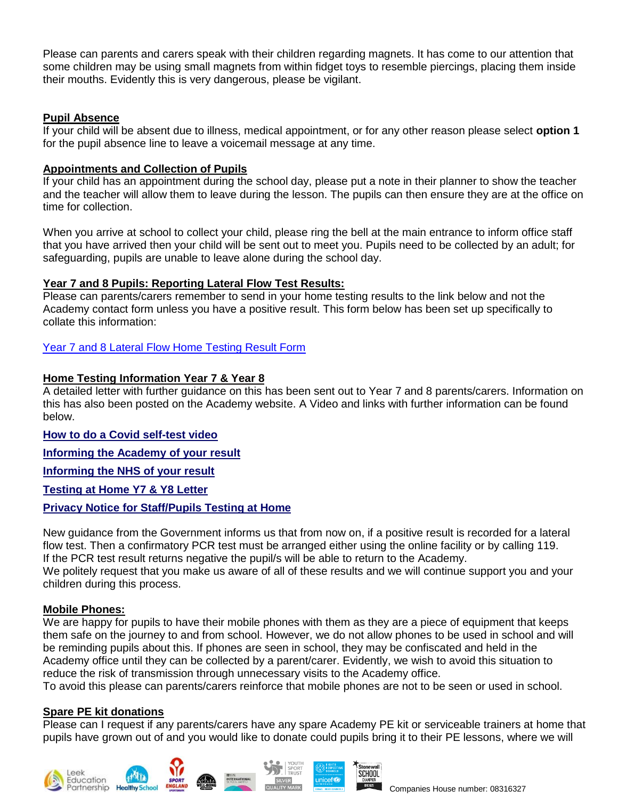Please can parents and carers speak with their children regarding magnets. It has come to our attention that some children may be using small magnets from within fidget toys to resemble piercings, placing them inside their mouths. Evidently this is very dangerous, please be vigilant.

## **Pupil Absence**

If your child will be absent due to illness, medical appointment, or for any other reason please select **option 1** for the pupil absence line to leave a voicemail message at any time.

## **Appointments and Collection of Pupils**

If your child has an appointment during the school day, please put a note in their planner to show the teacher and the teacher will allow them to leave during the lesson. The pupils can then ensure they are at the office on time for collection.

When you arrive at school to collect your child, please ring the bell at the main entrance to inform office staff that you have arrived then your child will be sent out to meet you. Pupils need to be collected by an adult; for safeguarding, pupils are unable to leave alone during the school day.

## **Year 7 and 8 Pupils: Reporting Lateral Flow Test Results:**

Please can parents/carers remember to send in your home testing results to the link below and not the Academy contact form unless you have a positive result. This form below has been set up specifically to collate this information:

## [Year 7 and 8 Lateral Flow Home Testing Result Form](https://forms.office.com/Pages/ResponsePage.aspx?id=1fhjb3KZgUuT_NXvEhdWcKayiLvXvodDpRcCWau7pr1UMk9UNVBUMDE3R01YWVZVV1MwTEtDVzQ5Si4u)

## **Home Testing Information Year 7 & Year 8**

A detailed letter with further guidance on this has been sent out to Year 7 and 8 parents/carers. Information on this has also been posted on the Academy website. A Video and links with further information can be found below.

## **How to do a Covid [self-test](https://www.youtube.com/watch?v=S9XR8RZxKNo&list=PLvaBZskxS7tzQYlVg7lwH5uxAD9UrSzGJ&index=2) video**

**[Informing](https://forms.office.com/Pages/ResponsePage.aspx?id=1fhjb3KZgUuT_NXvEhdWcKayiLvXvodDpRcCWau7pr1UMk9UNVBUMDE3R01YWVZVV1MwTEtDVzQ5Si4u) the Academy of your result**

**[Informing](https://www.gov.uk/report-covid19-result) the NHS of your result**

**[Testing](https://www.stedwards.academy/admin/ckfinder/userfiles/files/Testing%20pupils%20at%20home%20kits%20letter.pdf) at Home Y7 & Y8 Letter**

## **Privacy Notice for [Staff/Pupils](https://www.stedwards.academy/admin/ckfinder/userfiles/files/Privacy%20Notice%20%20for%20Staff%20-%20%20Pupils%20test%20at%20home.pdf) Testing at Home**

New guidance from the Government informs us that from now on, if a positive result is recorded for a lateral flow test. Then a confirmatory PCR test must be arranged either using the online facility or by calling 119. If the PCR test result returns negative the pupil/s will be able to return to the Academy.

We politely request that you make us aware of all of these results and we will continue support you and your children during this process.

## **Mobile Phones:**

We are happy for pupils to have their mobile phones with them as they are a piece of equipment that keeps them safe on the journey to and from school. However, we do not allow phones to be used in school and will be reminding pupils about this. If phones are seen in school, they may be confiscated and held in the Academy office until they can be collected by a parent/carer. Evidently, we wish to avoid this situation to reduce the risk of transmission through unnecessary visits to the Academy office.

To avoid this please can parents/carers reinforce that mobile phones are not to be seen or used in school.

## **Spare PE kit donations**

Please can I request if any parents/carers have any spare Academy PE kit or serviceable trainers at home that pupils have grown out of and you would like to donate could pupils bring it to their PE lessons, where we will